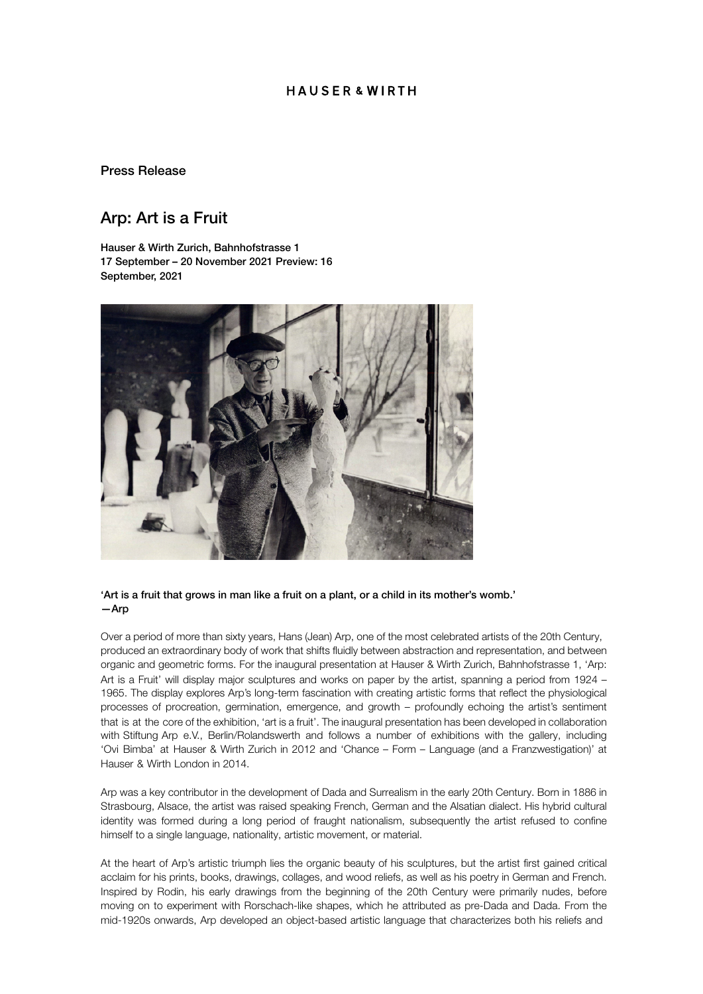# **HAUSFR&WIRTH**

#### Press Release

# Arp: Art is a Fruit

Hauser & Wirth Zurich, Bahnhofstrasse 1 17 September – 20 November 2021 Preview: 16 September, 2021



#### 'Art is a fruit that grows in man like a fruit on a plant, or a child in its mother's womb.' —Arp

Over a period of more than sixty years, Hans (Jean) Arp, one of the most celebrated artists of the 20th Century, produced an extraordinary body of work that shifts fluidly between abstraction and representation, and between organic and geometric forms. For the inaugural presentation at Hauser & Wirth Zurich, Bahnhofstrasse 1, 'Arp: Art is a Fruit' will display major sculptures and works on paper by the artist, spanning a period from 1924 – 1965. The display explores Arp's long-term fascination with creating artistic forms that reflect the physiological processes of procreation, germination, emergence, and growth – profoundly echoing the artist's sentiment that is at the core of the exhibition, 'art is a fruit'. The inaugural presentation has been developed in collaboration with Stiftung Arp e.V., Berlin/Rolandswerth and follows a number of exhibitions with the gallery, including 'Ovi Bimba' at Hauser & Wirth Zurich in 2012 and 'Chance – Form – Language (and a Franzwestigation)' at Hauser & Wirth London in 2014.

Arp was a key contributor in the development of Dada and Surrealism in the early 20th Century. Born in 1886 in Strasbourg, Alsace, the artist was raised speaking French, German and the Alsatian dialect. His hybrid cultural identity was formed during a long period of fraught nationalism, subsequently the artist refused to confine himself to a single language, nationality, artistic movement, or material.

At the heart of Arp's artistic triumph lies the organic beauty of his sculptures, but the artist first gained critical acclaim for his prints, books, drawings, collages, and wood reliefs, as well as his poetry in German and French. Inspired by Rodin, his early drawings from the beginning of the 20th Century were primarily nudes, before moving on to experiment with Rorschach-like shapes, which he attributed as pre-Dada and Dada. From the mid-1920s onwards, Arp developed an object-based artistic language that characterizes both his reliefs and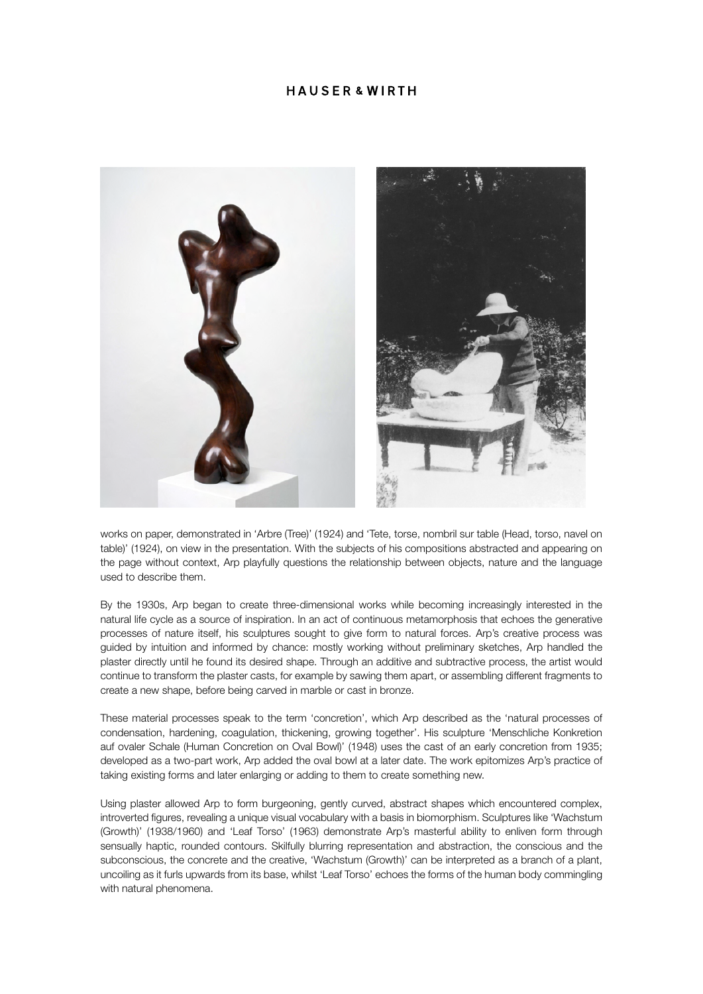## **HAUSFR&WIRTH**



works on paper, demonstrated in 'Arbre (Tree)' (1924) and 'Tete, torse, nombril sur table (Head, torso, navel on table)' (1924), on view in the presentation. With the subjects of his compositions abstracted and appearing on the page without context, Arp playfully questions the relationship between objects, nature and the language used to describe them.

By the 1930s, Arp began to create three-dimensional works while becoming increasingly interested in the natural life cycle as a source of inspiration. In an act of continuous metamorphosis that echoes the generative processes of nature itself, his sculptures sought to give form to natural forces. Arp's creative process was guided by intuition and informed by chance: mostly working without preliminary sketches, Arp handled the plaster directly until he found its desired shape. Through an additive and subtractive process, the artist would continue to transform the plaster casts, for example by sawing them apart, or assembling different fragments to create a new shape, before being carved in marble or cast in bronze.

These material processes speak to the term 'concretion', which Arp described as the 'natural processes of condensation, hardening, coagulation, thickening, growing together'. His sculpture 'Menschliche Konkretion auf ovaler Schale (Human Concretion on Oval Bowl)' (1948) uses the cast of an early concretion from 1935; developed as a two-part work, Arp added the oval bowl at a later date. The work epitomizes Arp's practice of taking existing forms and later enlarging or adding to them to create something new.

Using plaster allowed Arp to form burgeoning, gently curved, abstract shapes which encountered complex, introverted figures, revealing a unique visual vocabulary with a basis in biomorphism. Sculptures like 'Wachstum (Growth)' (1938/1960) and 'Leaf Torso' (1963) demonstrate Arp's masterful ability to enliven form through sensually haptic, rounded contours. Skilfully blurring representation and abstraction, the conscious and the subconscious, the concrete and the creative, 'Wachstum (Growth)' can be interpreted as a branch of a plant, uncoiling as it furls upwards from its base, whilst 'Leaf Torso' echoes the forms of the human body commingling with natural phenomena.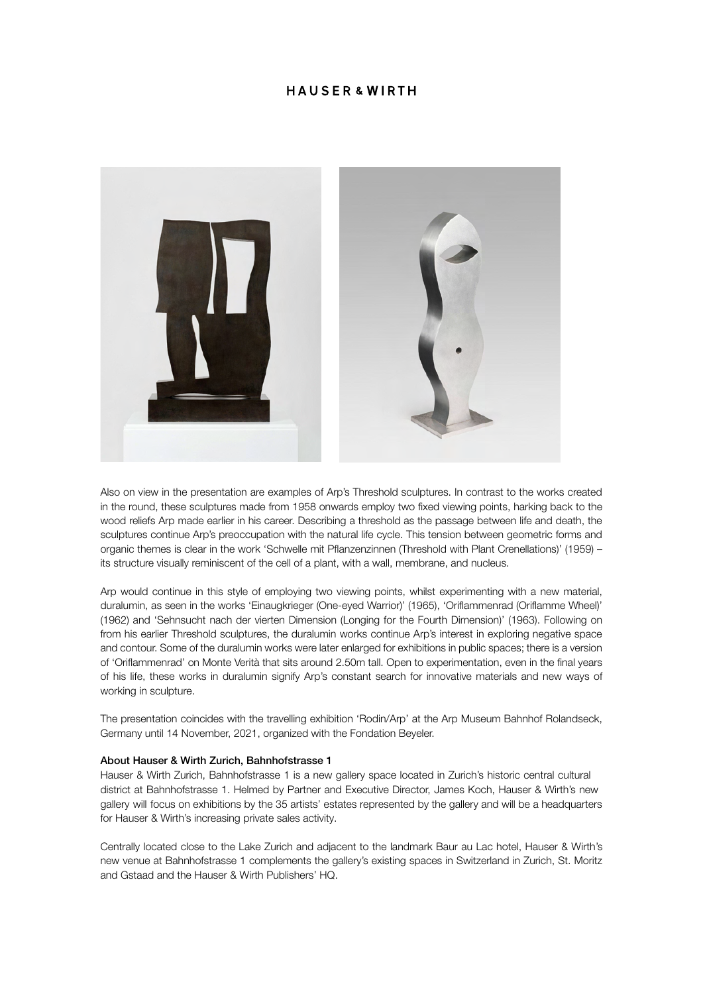## **HAUSFR&WIRTH**



Also on view in the presentation are examples of Arp's Threshold sculptures. In contrast to the works created in the round, these sculptures made from 1958 onwards employ two fixed viewing points, harking back to the wood reliefs Arp made earlier in his career. Describing a threshold as the passage between life and death, the sculptures continue Arp's preoccupation with the natural life cycle. This tension between geometric forms and organic themes is clear in the work 'Schwelle mit Pflanzenzinnen (Threshold with Plant Crenellations)' (1959) – its structure visually reminiscent of the cell of a plant, with a wall, membrane, and nucleus.

Arp would continue in this style of employing two viewing points, whilst experimenting with a new material, duralumin, as seen in the works 'Einaugkrieger (One-eyed Warrior)' (1965), 'Oriflammenrad (Oriflamme Wheel)' (1962) and 'Sehnsucht nach der vierten Dimension (Longing for the Fourth Dimension)' (1963). Following on from his earlier Threshold sculptures, the duralumin works continue Arp's interest in exploring negative space and contour. Some of the duralumin works were later enlarged for exhibitions in public spaces; there is a version of 'Oriflammenrad' on Monte Verità that sits around 2.50m tall. Open to experimentation, even in the final years of his life, these works in duralumin signify Arp's constant search for innovative materials and new ways of working in sculpture.

The presentation coincides with the travelling exhibition 'Rodin/Arp' at the Arp Museum Bahnhof Rolandseck, Germany until 14 November, 2021, organized with the Fondation Beyeler.

#### About Hauser & Wirth Zurich, Bahnhofstrasse 1

Hauser & Wirth Zurich, Bahnhofstrasse 1 is a new gallery space located in Zurich's historic central cultural district at Bahnhofstrasse 1. Helmed by Partner and Executive Director, James Koch, Hauser & Wirth's new gallery will focus on exhibitions by the 35 artists' estates represented by the gallery and will be a headquarters for Hauser & Wirth's increasing private sales activity.

Centrally located close to the Lake Zurich and adjacent to the landmark Baur au Lac hotel, Hauser & Wirth's new venue at Bahnhofstrasse 1 complements the gallery's existing spaces in Switzerland in Zurich, St. Moritz and Gstaad and the Hauser & Wirth Publishers' HQ.